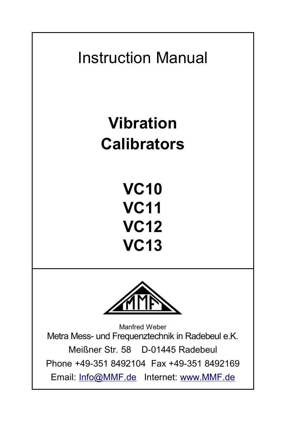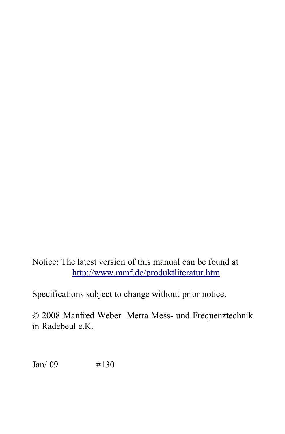Notice: The latest version of this manual can be found at <http://www.mmf.de/produktliteratur.htm>

Specifications subject to change without prior notice.

© 2008 Manfred Weber Metra Mess- und Frequenztechnik in Radebeul e.K.

Jan/ 09 #130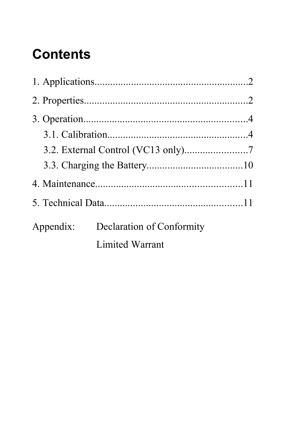## **Contents**

|  | Appendix: Declaration of Conformity |  |
|--|-------------------------------------|--|
|  | Limited Warrant                     |  |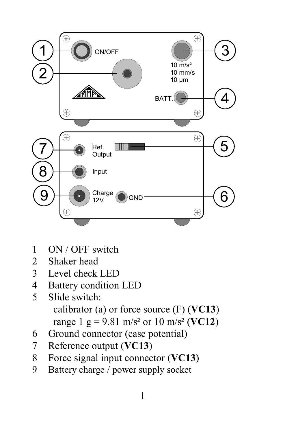

- 1 ON / OFF switch
- 2 Shaker head
- 3 Level check LED
- 4 Battery condition LED<br>5 Slide switch
- Slide switch: calibrator (a) or force source (F) (**VC13**) range 1 g =  $9.81$  m/s<sup>2</sup> or 10 m/s<sup>2</sup> (**VC12**)
- 6 Ground connector (case potential)
- 7 Reference output (**VC13**)
- 8 Force signal input connector (**VC13**)
- 9 Battery charge / power supply socket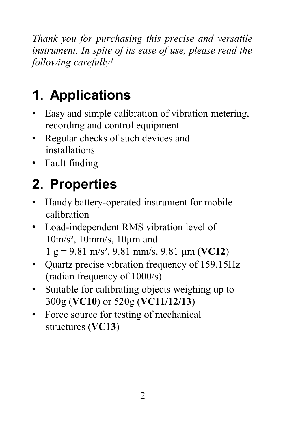*Thank you for purchasing this precise and versatile instrument. In spite of its ease of use, please read the following carefully!* 

# **1. Applications**

- Easy and simple calibration of vibration metering, recording and control equipment
- Regular checks of such devices and installations
- Fault finding

# **2. Properties**

- Handy battery-operated instrument for mobile calibration
- Load-independent RMS vibration level of 10m/s², 10mm/s, 10µm and 1 g = 9.81 m/s², 9.81 mm/s, 9.81 µm (**VC12**)
- Ouartz precise vibration frequency of 159.15Hz (radian frequency of 1000/s)
- Suitable for calibrating objects weighing up to 300g (**VC10**) or 520g (**VC11/12/13**)
- Force source for testing of mechanical structures (**VC13**)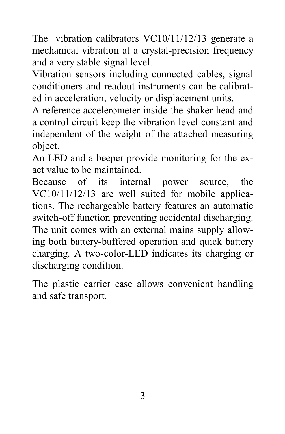The vibration calibrators VC10/11/12/13 generate a mechanical vibration at a crystal-precision frequency and a very stable signal level.

Vibration sensors including connected cables, signal conditioners and readout instruments can be calibrated in acceleration, velocity or displacement units.

A reference accelerometer inside the shaker head and a control circuit keep the vibration level constant and independent of the weight of the attached measuring object.

An LED and a beeper provide monitoring for the exact value to be maintained.

Because of its internal power source, the VC10/11/12/13 are well suited for mobile applications. The rechargeable battery features an automatic switch-off function preventing accidental discharging. The unit comes with an external mains supply allowing both battery-buffered operation and quick battery charging. A two-color-LED indicates its charging or discharging condition.

The plastic carrier case allows convenient handling and safe transport.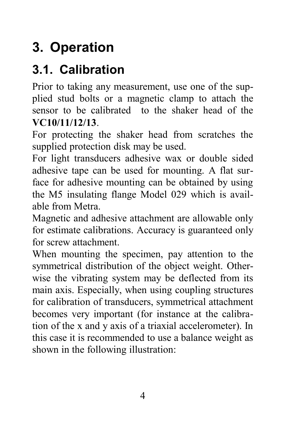## **3. Operation**

#### **3.1. Calibration**

Prior to taking any measurement, use one of the supplied stud bolts or a magnetic clamp to attach the sensor to be calibrated to the shaker head of the **VC10/11/12/13**.

For protecting the shaker head from scratches the supplied protection disk may be used.

For light transducers adhesive wax or double sided adhesive tape can be used for mounting. A flat surface for adhesive mounting can be obtained by using the M5 insulating flange Model 029 which is available from Metra.

Magnetic and adhesive attachment are allowable only for estimate calibrations. Accuracy is guaranteed only for screw attachment.

When mounting the specimen, pay attention to the symmetrical distribution of the object weight. Otherwise the vibrating system may be deflected from its main axis. Especially, when using coupling structures for calibration of transducers, symmetrical attachment becomes very important (for instance at the calibration of the x and y axis of a triaxial accelerometer). In this case it is recommended to use a balance weight as shown in the following illustration: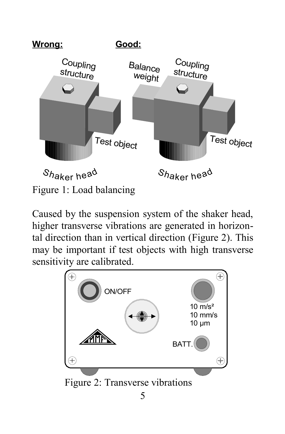

Caused by the suspension system of the shaker head, higher transverse vibrations are generated in horizontal direction than in vertical direction [\(Figure 2\)](#page-8-0). This may be important if test objects with high transverse sensitivity are calibrated.

<span id="page-8-0"></span>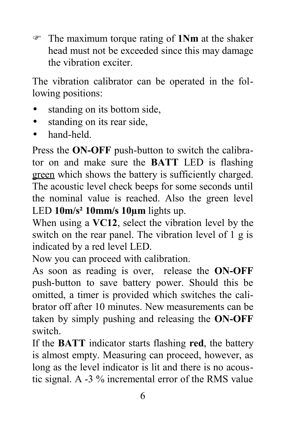F The maximum torque rating of **1Nm** at the shaker head must not be exceeded since this may damage the vibration exciter.

The vibration calibrator can be operated in the following positions:

- standing on its bottom side,
- standing on its rear side,
- hand-held.

Press the **ON-OFF** push-button to switch the calibrator on and make sure the **BATT** LED is flashing green which shows the battery is sufficiently charged. The acoustic level check beeps for some seconds until the nominal value is reached. Also the green level LED **10m/s² 10mm/s 10µm** lights up.

When using a **VC12**, select the vibration level by the switch on the rear panel. The vibration level of 1 g is indicated by a red level LED.

Now you can proceed with calibration.

As soon as reading is over, release the **ON-OFF** push-button to save battery power. Should this be omitted, a timer is provided which switches the calibrator off after 10 minutes. New measurements can be taken by simply pushing and releasing the **ON-OFF** switch.

If the **BATT** indicator starts flashing **red**, the battery is almost empty. Measuring can proceed, however, as long as the level indicator is lit and there is no acoustic signal. A -3 % incremental error of the RMS value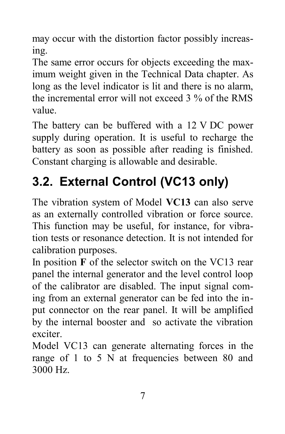may occur with the distortion factor possibly increasing.

The same error occurs for objects exceeding the maximum weight given in the Technical Data chapter. As long as the level indicator is lit and there is no alarm, the incremental error will not exceed 3 % of the RMS value.

The battery can be buffered with a 12 V DC power supply during operation. It is useful to recharge the battery as soon as possible after reading is finished. Constant charging is allowable and desirable.

## **3.2. External Control (VC13 only)**

The vibration system of Model **VC13** can also serve as an externally controlled vibration or force source. This function may be useful, for instance, for vibration tests or resonance detection. It is not intended for calibration purposes.

In position **F** of the selector switch on the VC13 rear panel the internal generator and the level control loop of the calibrator are disabled. The input signal coming from an external generator can be fed into the input connector on the rear panel. It will be amplified by the internal booster and so activate the vibration exciter.

Model VC13 can generate alternating forces in the range of 1 to 5 N at frequencies between 80 and 3000 Hz.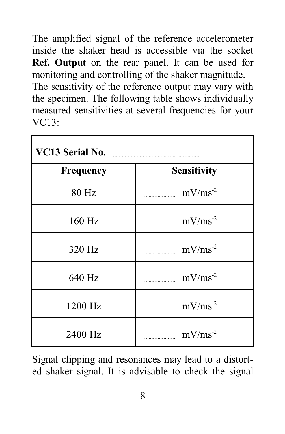The amplified signal of the reference accelerometer inside the shaker head is accessible via the socket **Ref. Output** on the rear panel. It can be used for monitoring and controlling of the shaker magnitude. The sensitivity of the reference output may vary with the specimen. The following table shows individually measured sensitivities at several frequencies for your  $VC13$ 

| VC13 Serial No. <b>Manual Accord Serial No.</b> |                                                                                                                                                        |  |
|-------------------------------------------------|--------------------------------------------------------------------------------------------------------------------------------------------------------|--|
| <b>Frequency</b>                                | Sensitivity                                                                                                                                            |  |
| 80 Hz                                           | $\text{mV}/\text{ms}^{-2}$                                                                                                                             |  |
| 160 Hz                                          | $mV/ms^{-2}$<br>$\mathcal{L}$                                                                                                                          |  |
| 320 Hz                                          | $\text{mV}/\text{ms}^{-2}$<br>$\begin{array}{c} \begin{array}{c} \begin{array}{c} \end{array} \\ \begin{array}{c} \end{array} \end{array} \end{array}$ |  |
| 640 Hz                                          | $mV/ms-2$                                                                                                                                              |  |
| 1200 Hz                                         | $\text{mV}/\text{ms}^{-2}$                                                                                                                             |  |
| 2400 Hz                                         | $\text{mV}/\text{ms}^{-2}$                                                                                                                             |  |

Signal clipping and resonances may lead to a distorted shaker signal. It is advisable to check the signal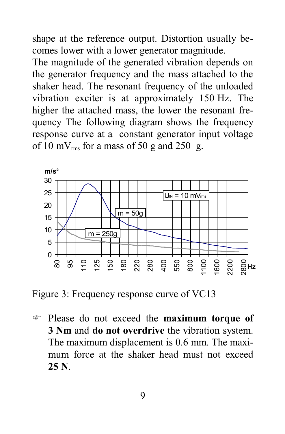shape at the reference output. Distortion usually becomes lower with a lower generator magnitude.

The magnitude of the generated vibration depends on the generator frequency and the mass attached to the shaker head. The resonant frequency of the unloaded vibration exciter is at approximately 150 Hz. The higher the attached mass, the lower the resonant frequency The following diagram shows the frequency response curve at a constant generator input voltage of 10 mV $_{rms}$  for a mass of 50 g and 250 g.



Figure 3: Frequency response curve of VC13

F Please do not exceed the **maximum torque of 3 Nm** and **do not overdrive** the vibration system. The maximum displacement is 0.6 mm. The maximum force at the shaker head must not exceed **25 N**.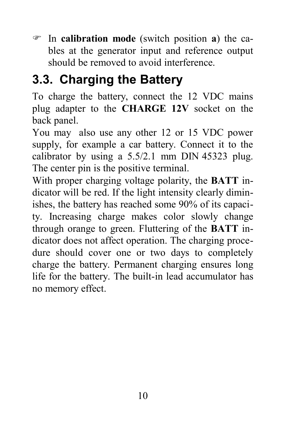F In **calibration mode** (switch position **a**) the cables at the generator input and reference output should be removed to avoid interference.

#### **3.3. Charging the Battery**

To charge the battery, connect the 12 VDC mains plug adapter to the **CHARGE 12V** socket on the back panel.

You may also use any other 12 or 15 VDC power supply, for example a car battery. Connect it to the calibrator by using a 5.5/2.1 mm DIN 45323 plug. The center pin is the positive terminal.

With proper charging voltage polarity, the **BATT** indicator will be red. If the light intensity clearly diminishes, the battery has reached some 90% of its capacity. Increasing charge makes color slowly change through orange to green. Fluttering of the **BATT** indicator does not affect operation. The charging procedure should cover one or two days to completely charge the battery. Permanent charging ensures long life for the battery. The built-in lead accumulator has no memory effect.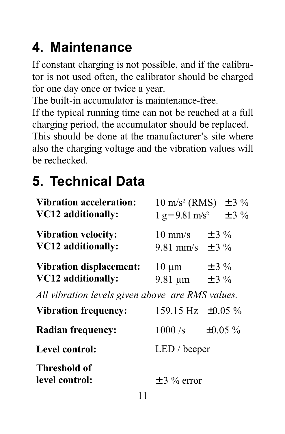## **4. Maintenance**

If constant charging is not possible, and if the calibrator is not used often, the calibrator should be charged for one day once or twice a year.

The built-in accumulator is maintenance-free.

If the typical running time can not be reached at a full charging period, the accumulator should be replaced.

This should be done at the manufacturer's site where also the charging voltage and the vibration values will be rechecked.

### **5. Technical Data**

| Vibration acceleration:<br>VC12 additionally:        |                                          | $10 \text{ m/s}^2$ (RMS) $\pm 3 \%$<br>$1 g = 9.81 \text{ m/s}^2 \pm 3 \%$ |
|------------------------------------------------------|------------------------------------------|----------------------------------------------------------------------------|
| <b>Vibration velocity:</b><br>VC12 additionally:     | 10 mm/s $\pm$ 3 %<br>9.81 mm/s $\pm$ 3 % |                                                                            |
| <b>Vibration displacement:</b><br>VC12 additionally: | $10 \mu m$<br>9.81 um $\pm 3\%$          | $\pm$ 3 %                                                                  |
| All vibration levels given above are RMS values.     |                                          |                                                                            |
| <b>Vibration frequency:</b>                          | 159.15 Hz $\pm 0.05 \%$                  |                                                                            |
| <b>Radian frequency:</b>                             | $1000 \text{/s}$ $\pm 0.05 \text{ \%}$   |                                                                            |
| Level control:                                       | LED / beeper                             |                                                                            |
| <b>Threshold of</b><br>level control:                | $\pm$ 3 % error                          |                                                                            |
| . .                                                  |                                          |                                                                            |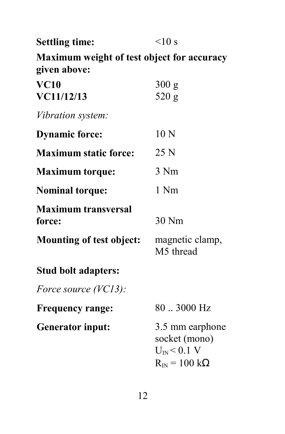| <b>Settling time:</b>                                      | <10 s                                                                                         |  |
|------------------------------------------------------------|-----------------------------------------------------------------------------------------------|--|
| Maximum weight of test object for accuracy<br>given above: |                                                                                               |  |
| VC10<br>VC11/12/13                                         | 300 g<br>520 g                                                                                |  |
| Vibration system:                                          |                                                                                               |  |
| <b>Dynamic force:</b>                                      | 10 <sub>N</sub>                                                                               |  |
| <b>Maximum static force:</b>                               | 25 N                                                                                          |  |
| <b>Maximum torque:</b>                                     | 3 Nm                                                                                          |  |
| <b>Nominal torque:</b>                                     | 1 Nm                                                                                          |  |
| <b>Maximum transversal</b><br>force:                       | $30$ Nm                                                                                       |  |
| Mounting of test object:                                   | magnetic clamp,<br>M5 thread                                                                  |  |
| Stud bolt adapters:                                        |                                                                                               |  |
| Force source (VC13):                                       |                                                                                               |  |
| <b>Frequency range:</b>                                    | 80  3000 Hz                                                                                   |  |
| <b>Generator input:</b>                                    | 3.5 mm earphone<br>socket (mono)<br>$U_{IN}$ < 0.1 V<br>$R_{\text{IN}} = 100 \text{ k}\Omega$ |  |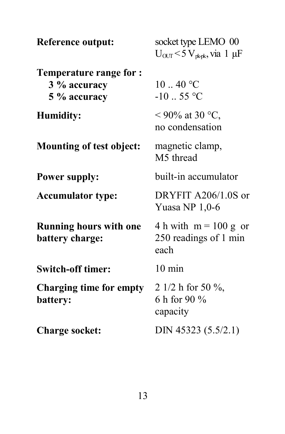| Reference output:                                       | socket type LEMO 00<br>$U_{\text{OUT}}$ < 5 $V_{\text{rk-k}}$ , via 1 µF |  |
|---------------------------------------------------------|--------------------------------------------------------------------------|--|
| Temperature range for :<br>3 % accuracy<br>5 % accuracy | 10.40 °C<br>$-10.55$ °C                                                  |  |
| <b>Humidity:</b>                                        | < 90% at 30 °C,<br>no condensation                                       |  |
| Mounting of test object:                                | magnetic clamp,<br>M5 thread                                             |  |
| <b>Power supply:</b>                                    | built-in accumulator                                                     |  |
| <b>Accumulator type:</b>                                | DRYFIT A206/1.0S or<br>Yuasa NP $1,0-6$                                  |  |
| <b>Running hours with one</b><br>battery charge:        | 4 h with $m = 100$ g or<br>250 readings of 1 min<br>each                 |  |
| <b>Switch-off timer:</b>                                | $10 \text{ min}$                                                         |  |
| Charging time for empty<br>battery:                     | 2 1/2 h for 50 $\%$ ,<br>6 h for 90 %<br>capacity                        |  |
| <b>Charge socket:</b>                                   | DIN 45323 (5.5/2.1)                                                      |  |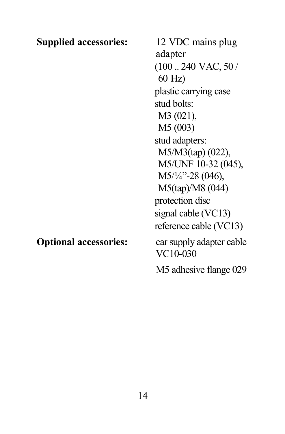| <b>Supplied accessories:</b> | 12 VDC mains plug                      |
|------------------------------|----------------------------------------|
|                              | adapter                                |
|                              | $(100240 \text{ VAC}, 50/$<br>$60$ Hz) |
|                              | plastic carrying case                  |
|                              | stud bolts:                            |
|                              | $M3(021)$ ,                            |
|                              | M5 (003)                               |
|                              | stud adapters:                         |
|                              | $M5/M3(tap)$ (022),                    |
|                              | M5/UNF 10-32 (045),                    |
|                              | M5/1/4"-28 (046),                      |
|                              | M5(tap)/M8 (044)                       |
|                              | protection disc                        |
|                              | signal cable (VC13)                    |
|                              | reference cable (VC13)                 |
| <b>Optional accessories:</b> | car supply adapter cable<br>VC10-030   |
|                              | M5 adhesive flange 029                 |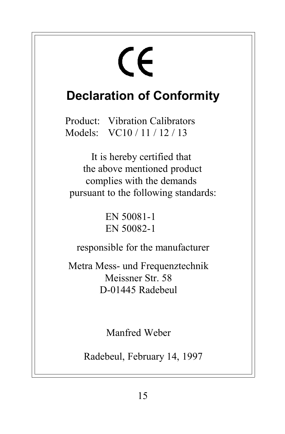# $\epsilon$

#### **Declaration of Conformity**

Product: Vibration Calibrators Models: VC10 / 11 / 12 / 13

It is hereby certified that the above mentioned product complies with the demands pursuant to the following standards:

> EN 50081-1 EN 50082-1

responsible for the manufacturer

Metra Mess- und Frequenztechnik Meissner Str. 58 D-01445 Radebeul

Manfred Weber

Radebeul, February 14, 1997